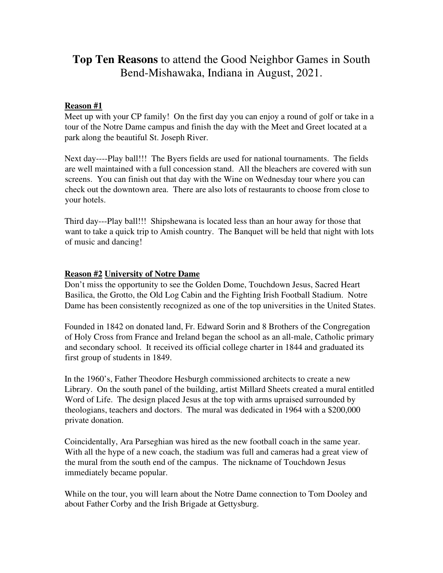# **Top Ten Reasons** to attend the Good Neighbor Games in South Bend-Mishawaka, Indiana in August, 2021.

#### **Reason #1**

Meet up with your CP family! On the first day you can enjoy a round of golf or take in a tour of the Notre Dame campus and finish the day with the Meet and Greet located at a park along the beautiful St. Joseph River.

Next day----Play ball!!! The Byers fields are used for national tournaments. The fields are well maintained with a full concession stand. All the bleachers are covered with sun screens. You can finish out that day with the Wine on Wednesday tour where you can check out the downtown area. There are also lots of restaurants to choose from close to your hotels.

Third day---Play ball!!! Shipshewana is located less than an hour away for those that want to take a quick trip to Amish country. The Banquet will be held that night with lots of music and dancing!

#### **Reason #2 University of Notre Dame**

Don't miss the opportunity to see the Golden Dome, Touchdown Jesus, Sacred Heart Basilica, the Grotto, the Old Log Cabin and the Fighting Irish Football Stadium. Notre Dame has been consistently recognized as one of the top universities in the United States.

Founded in 1842 on donated land, Fr. Edward Sorin and 8 Brothers of the Congregation of Holy Cross from France and Ireland began the school as an all-male, Catholic primary and secondary school. It received its official college charter in 1844 and graduated its first group of students in 1849.

In the 1960's, Father Theodore Hesburgh commissioned architects to create a new Library. On the south panel of the building, artist Millard Sheets created a mural entitled Word of Life. The design placed Jesus at the top with arms upraised surrounded by theologians, teachers and doctors. The mural was dedicated in 1964 with a \$200,000 private donation.

Coincidentally, Ara Parseghian was hired as the new football coach in the same year. With all the hype of a new coach, the stadium was full and cameras had a great view of the mural from the south end of the campus. The nickname of Touchdown Jesus immediately became popular.

While on the tour, you will learn about the Notre Dame connection to Tom Dooley and about Father Corby and the Irish Brigade at Gettysburg.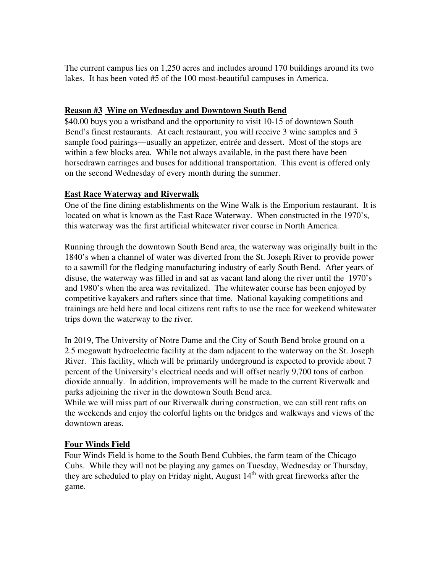The current campus lies on 1,250 acres and includes around 170 buildings around its two lakes. It has been voted #5 of the 100 most-beautiful campuses in America.

## **Reason #3 Wine on Wednesday and Downtown South Bend**

\$40.00 buys you a wristband and the opportunity to visit 10-15 of downtown South Bend's finest restaurants. At each restaurant, you will receive 3 wine samples and 3 sample food pairings—usually an appetizer, entrée and dessert. Most of the stops are within a few blocks area. While not always available, in the past there have been horsedrawn carriages and buses for additional transportation. This event is offered only on the second Wednesday of every month during the summer.

## **East Race Waterway and Riverwalk**

One of the fine dining establishments on the Wine Walk is the Emporium restaurant. It is located on what is known as the East Race Waterway. When constructed in the 1970's, this waterway was the first artificial whitewater river course in North America.

Running through the downtown South Bend area, the waterway was originally built in the 1840's when a channel of water was diverted from the St. Joseph River to provide power to a sawmill for the fledging manufacturing industry of early South Bend. After years of disuse, the waterway was filled in and sat as vacant land along the river until the 1970's and 1980's when the area was revitalized. The whitewater course has been enjoyed by competitive kayakers and rafters since that time. National kayaking competitions and trainings are held here and local citizens rent rafts to use the race for weekend whitewater trips down the waterway to the river.

In 2019, The University of Notre Dame and the City of South Bend broke ground on a 2.5 megawatt hydroelectric facility at the dam adjacent to the waterway on the St. Joseph River. This facility, which will be primarily underground is expected to provide about 7 percent of the University's electrical needs and will offset nearly 9,700 tons of carbon dioxide annually. In addition, improvements will be made to the current Riverwalk and parks adjoining the river in the downtown South Bend area.

While we will miss part of our Riverwalk during construction, we can still rent rafts on the weekends and enjoy the colorful lights on the bridges and walkways and views of the downtown areas.

# **Four Winds Field**

Four Winds Field is home to the South Bend Cubbies, the farm team of the Chicago Cubs. While they will not be playing any games on Tuesday, Wednesday or Thursday, they are scheduled to play on Friday night, August  $14<sup>th</sup>$  with great fireworks after the game.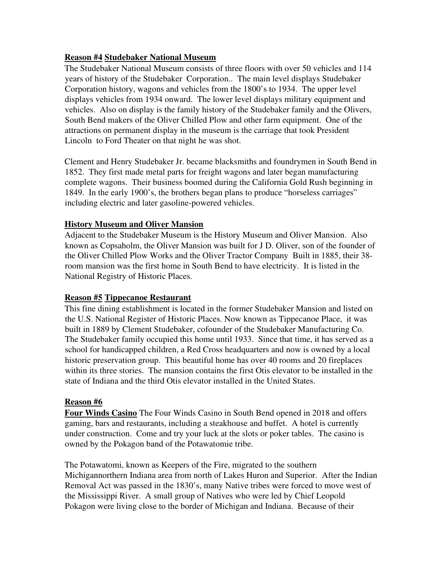#### **Reason #4 Studebaker National Museum**

The Studebaker National Museum consists of three floors with over 50 vehicles and 114 years of history of the Studebaker Corporation.. The main level displays Studebaker Corporation history, wagons and vehicles from the 1800's to 1934. The upper level displays vehicles from 1934 onward. The lower level displays military equipment and vehicles. Also on display is the family history of the Studebaker family and the Olivers, South Bend makers of the Oliver Chilled Plow and other farm equipment. One of the attractions on permanent display in the museum is the carriage that took President Lincoln to Ford Theater on that night he was shot.

Clement and Henry Studebaker Jr. became blacksmiths and foundrymen in South Bend in 1852. They first made metal parts for freight wagons and later began manufacturing complete wagons. Their business boomed during the California Gold Rush beginning in 1849. In the early 1900's, the brothers began plans to produce "horseless carriages" including electric and later gasoline-powered vehicles.

## **History Museum and Oliver Mansion**

Adjacent to the Studebaker Museum is the History Museum and Oliver Mansion. Also known as Copsaholm, the Oliver Mansion was built for J D. Oliver, son of the founder of the Oliver Chilled Plow Works and the Oliver Tractor Company Built in 1885, their 38 room mansion was the first home in South Bend to have electricity. It is listed in the National Registry of Historic Places.

#### **Reason #5 Tippecanoe Restaurant**

This fine dining establishment is located in the former Studebaker Mansion and listed on the U.S. National Register of Historic Places. Now known as Tippecanoe Place, it was built in 1889 by Clement Studebaker, cofounder of the Studebaker Manufacturing Co. The Studebaker family occupied this home until 1933. Since that time, it has served as a school for handicapped children, a Red Cross headquarters and now is owned by a local historic preservation group. This beautiful home has over 40 rooms and 20 fireplaces within its three stories. The mansion contains the first Otis elevator to be installed in the state of Indiana and the third Otis elevator installed in the United States.

## **Reason #6**

**Four Winds Casino** The Four Winds Casino in South Bend opened in 2018 and offers gaming, bars and restaurants, including a steakhouse and buffet. A hotel is currently under construction. Come and try your luck at the slots or poker tables. The casino is owned by the Pokagon band of the Potawatomie tribe.

The Potawatomi, known as Keepers of the Fire, migrated to the southern Michigannorthern Indiana area from north of Lakes Huron and Superior. After the Indian Removal Act was passed in the 1830's, many Native tribes were forced to move west of the Mississippi River. A small group of Natives who were led by Chief Leopold Pokagon were living close to the border of Michigan and Indiana. Because of their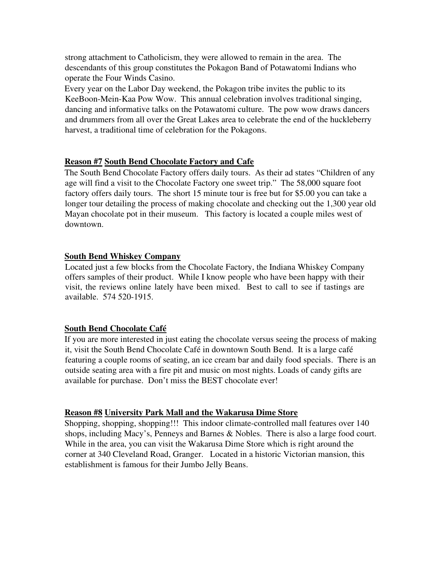strong attachment to Catholicism, they were allowed to remain in the area. The descendants of this group constitutes the Pokagon Band of Potawatomi Indians who operate the Four Winds Casino.

Every year on the Labor Day weekend, the Pokagon tribe invites the public to its KeeBoon-Mein-Kaa Pow Wow. This annual celebration involves traditional singing, dancing and informative talks on the Potawatomi culture. The pow wow draws dancers and drummers from all over the Great Lakes area to celebrate the end of the huckleberry harvest, a traditional time of celebration for the Pokagons.

#### **Reason #7 South Bend Chocolate Factory and Cafe**

The South Bend Chocolate Factory offers daily tours. As their ad states "Children of any age will find a visit to the Chocolate Factory one sweet trip." The 58,000 square foot factory offers daily tours. The short 15 minute tour is free but for \$5.00 you can take a longer tour detailing the process of making chocolate and checking out the 1,300 year old Mayan chocolate pot in their museum. This factory is located a couple miles west of downtown.

#### **South Bend Whiskey Company**

Located just a few blocks from the Chocolate Factory, the Indiana Whiskey Company offers samples of their product. While I know people who have been happy with their visit, the reviews online lately have been mixed. Best to call to see if tastings are available. 574 520-1915.

#### **South Bend Chocolate Café**

If you are more interested in just eating the chocolate versus seeing the process of making it, visit the South Bend Chocolate Café in downtown South Bend. It is a large café featuring a couple rooms of seating, an ice cream bar and daily food specials. There is an outside seating area with a fire pit and music on most nights. Loads of candy gifts are available for purchase. Don't miss the BEST chocolate ever!

#### **Reason #8 University Park Mall and the Wakarusa Dime Store**

Shopping, shopping, shopping!!! This indoor climate-controlled mall features over 140 shops, including Macy's, Penneys and Barnes & Nobles. There is also a large food court. While in the area, you can visit the Wakarusa Dime Store which is right around the corner at 340 Cleveland Road, Granger. Located in a historic Victorian mansion, this establishment is famous for their Jumbo Jelly Beans.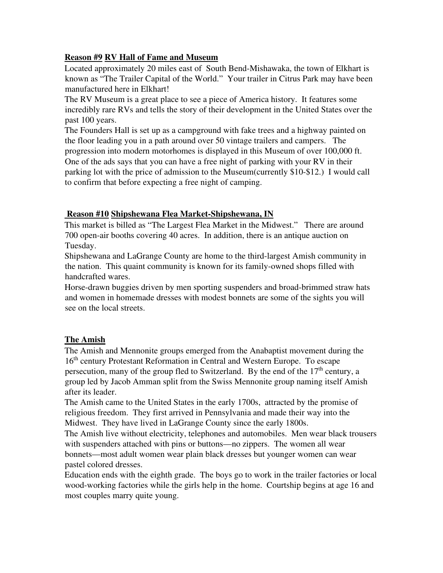## **Reason #9 RV Hall of Fame and Museum**

Located approximately 20 miles east of South Bend-Mishawaka, the town of Elkhart is known as "The Trailer Capital of the World." Your trailer in Citrus Park may have been manufactured here in Elkhart!

The RV Museum is a great place to see a piece of America history. It features some incredibly rare RVs and tells the story of their development in the United States over the past 100 years.

The Founders Hall is set up as a campground with fake trees and a highway painted on the floor leading you in a path around over 50 vintage trailers and campers. The progression into modern motorhomes is displayed in this Museum of over 100,000 ft. One of the ads says that you can have a free night of parking with your RV in their parking lot with the price of admission to the Museum(currently \$10-\$12.) I would call to confirm that before expecting a free night of camping.

## **Reason #10 Shipshewana Flea Market-Shipshewana, IN**

This market is billed as "The Largest Flea Market in the Midwest." There are around 700 open-air booths covering 40 acres. In addition, there is an antique auction on Tuesday.

Shipshewana and LaGrange County are home to the third-largest Amish community in the nation. This quaint community is known for its family-owned shops filled with handcrafted wares.

Horse-drawn buggies driven by men sporting suspenders and broad-brimmed straw hats and women in homemade dresses with modest bonnets are some of the sights you will see on the local streets.

## **The Amish**

The Amish and Mennonite groups emerged from the Anabaptist movement during the 16th century Protestant Reformation in Central and Western Europe. To escape persecution, many of the group fled to Switzerland. By the end of the  $17<sup>th</sup>$  century, a group led by Jacob Amman split from the Swiss Mennonite group naming itself Amish after its leader.

The Amish came to the United States in the early 1700s, attracted by the promise of religious freedom. They first arrived in Pennsylvania and made their way into the Midwest. They have lived in LaGrange County since the early 1800s.

The Amish live without electricity, telephones and automobiles. Men wear black trousers with suspenders attached with pins or buttons—no zippers. The women all wear bonnets—most adult women wear plain black dresses but younger women can wear pastel colored dresses.

Education ends with the eighth grade. The boys go to work in the trailer factories or local wood-working factories while the girls help in the home. Courtship begins at age 16 and most couples marry quite young.